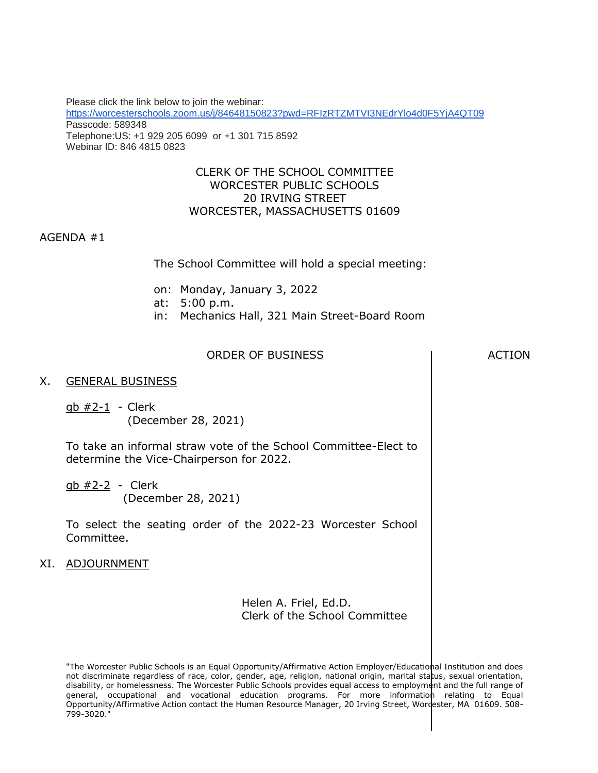Please click the link below to join the webinar: <https://worcesterschools.zoom.us/j/84648150823?pwd=RFIzRTZMTVI3NEdrYlo4d0F5YjA4QT09> Passcode: 589348 Telephone:US: +1 929 205 6099 or +1 301 715 8592 Webinar ID: 846 4815 0823

### CLERK OF THE SCHOOL COMMITTEE WORCESTER PUBLIC SCHOOLS 20 IRVING STREET WORCESTER, MASSACHUSETTS 01609

#### AGENDA #1

The School Committee will hold a special meeting:

- on: Monday, January 3, 2022
- at: 5:00 p.m.
- in: Mechanics Hall, 321 Main Street-Board Room

#### ORDER OF BUSINESS ACTION

#### X. GENERAL BUSINESS

gb #2-1 - Clerk (December 28, 2021)

To take an informal straw vote of the School Committee-Elect to determine the Vice-Chairperson for 2022.

gb #2-2 - Clerk (December 28, 2021)

To select the seating order of the 2022-23 Worcester School Committee.

#### XI. ADJOURNMENT

Helen A. Friel, Ed.D. Clerk of the School Committee

"The Worcester Public Schools is an Equal Opportunity/Affirmative Action Employer/Educational Institution and does not discriminate regardless of race, color, gender, age, religion, national origin, marital status, sexual orientation, disability, or homelessness. The Worcester Public Schools provides equal access to employment and the full range of general, occupational and vocational education programs. For more information relating to Equal Opportunity/Affirmative Action contact the Human Resource Manager, 20 Irving Street, Wordester, MA 01609. 508-799-3020."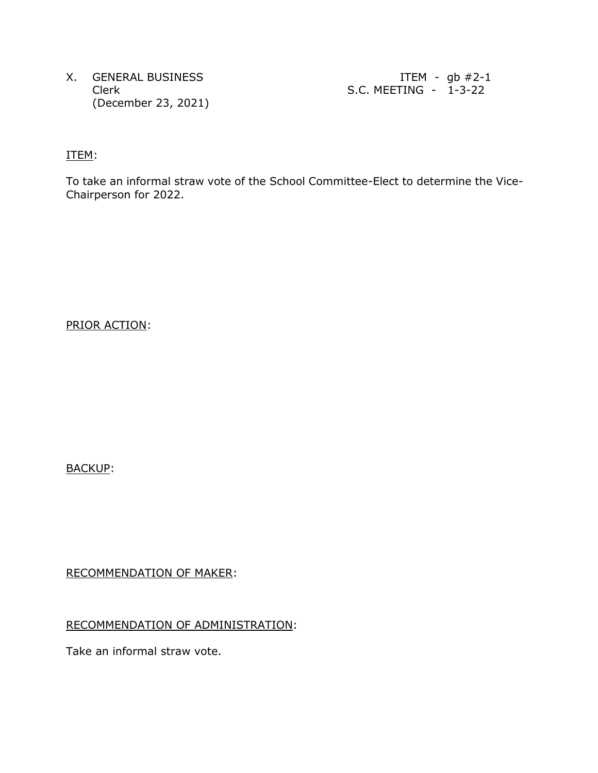X. GENERAL BUSINESS ITEM - gb #2-1 (December 23, 2021)

Clerk S.C. MEETING - 1-3-22

ITEM:

To take an informal straw vote of the School Committee-Elect to determine the Vice-Chairperson for 2022.

PRIOR ACTION:

BACKUP:

RECOMMENDATION OF MAKER:

## RECOMMENDATION OF ADMINISTRATION:

Take an informal straw vote.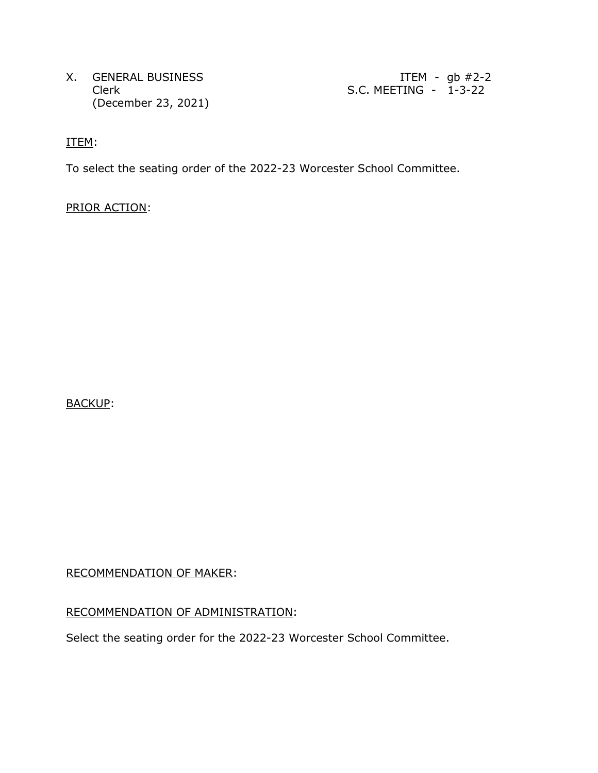X. GENERAL BUSINESS ITEM - gb #2-2 (December 23, 2021)

Clerk S.C. MEETING - 1-3-22

ITEM:

To select the seating order of the 2022-23 Worcester School Committee.

PRIOR ACTION:

BACKUP:

RECOMMENDATION OF MAKER:

### RECOMMENDATION OF ADMINISTRATION:

Select the seating order for the 2022-23 Worcester School Committee.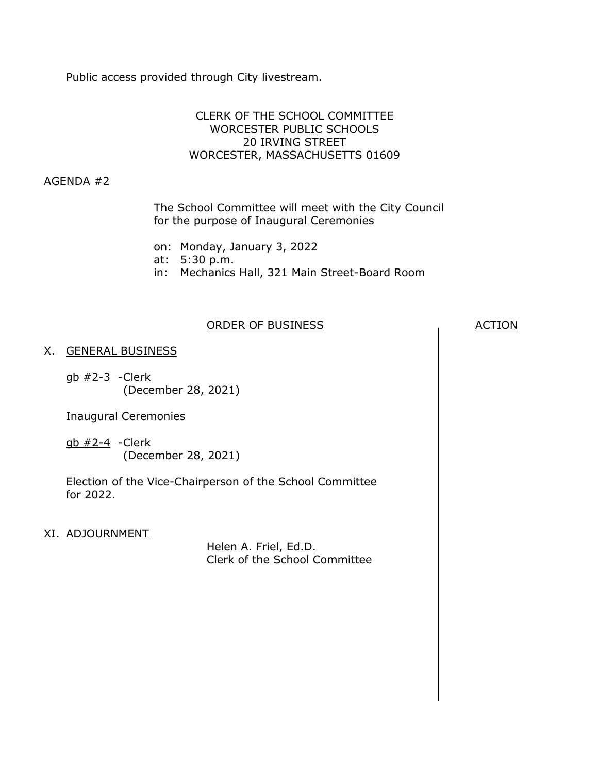Public access provided through City livestream.

## CLERK OF THE SCHOOL COMMITTEE WORCESTER PUBLIC SCHOOLS 20 IRVING STREET WORCESTER, MASSACHUSETTS 01609

## AGENDA #2

The School Committee will meet with the City Council for the purpose of Inaugural Ceremonies

- on: Monday, January 3, 2022
- at: 5:30 p.m.
- in: Mechanics Hall, 321 Main Street-Board Room

## ORDER OF BUSINESS ACTION

## X. GENERAL BUSINESS

 $q$ b  $#2-3$  -Clerk (December 28, 2021)

Inaugural Ceremonies

gb #2-4 -Clerk (December 28, 2021)

Election of the Vice-Chairperson of the School Committee for 2022.

### XI. ADJOURNMENT

Helen A. Friel, Ed.D. Clerk of the School Committee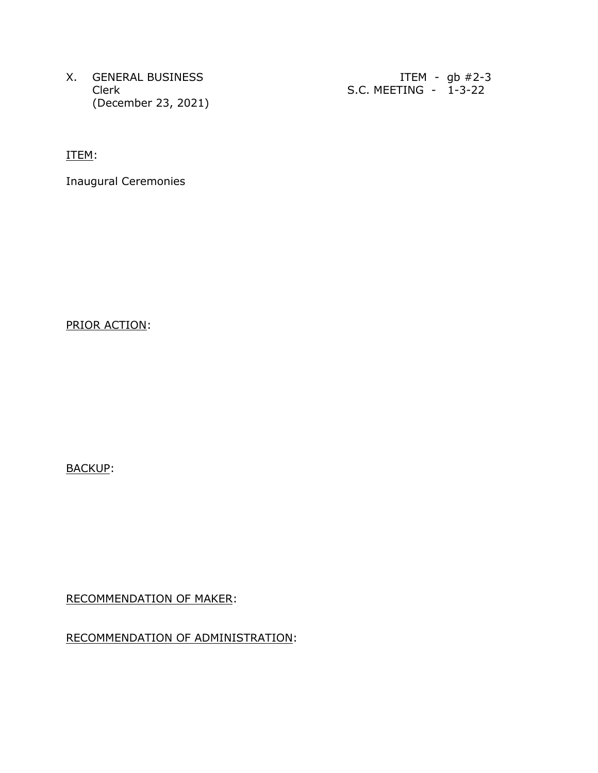X. GENERAL BUSINESS ITEM - gb #2-3 (December 23, 2021)

Clerk S.C. MEETING - 1-3-22

ITEM:

Inaugural Ceremonies

PRIOR ACTION:

BACKUP:

RECOMMENDATION OF MAKER:

RECOMMENDATION OF ADMINISTRATION: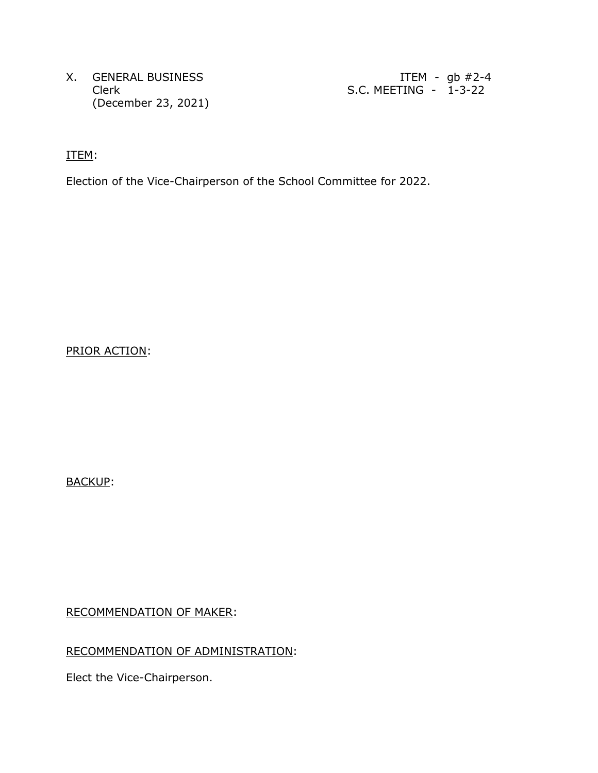X. GENERAL BUSINESS ITEM - gb #2-4 (December 23, 2021)

Clerk S.C. MEETING - 1-3-22

ITEM:

Election of the Vice-Chairperson of the School Committee for 2022.

PRIOR ACTION:

BACKUP:

RECOMMENDATION OF MAKER:

RECOMMENDATION OF ADMINISTRATION:

Elect the Vice-Chairperson.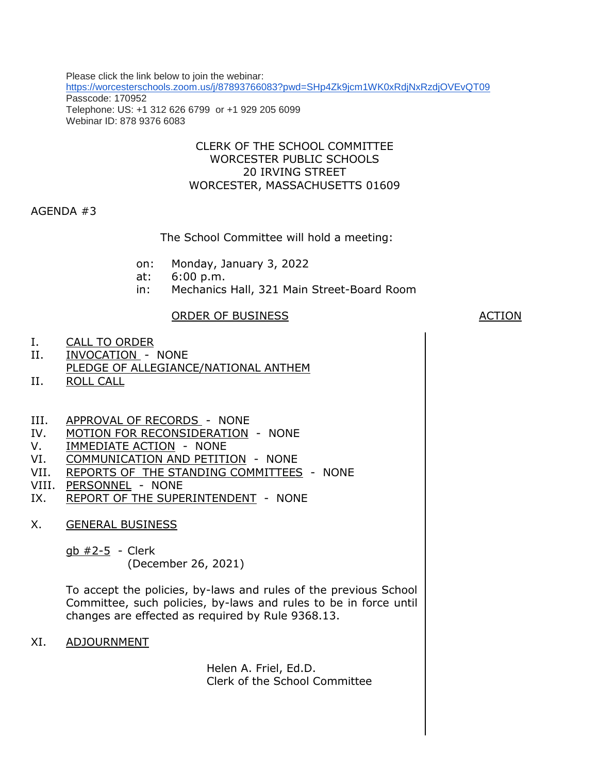Please click the link below to join the webinar: <https://worcesterschools.zoom.us/j/87893766083?pwd=SHp4Zk9jcm1WK0xRdjNxRzdjOVEvQT09> Passcode: 170952 Telephone: US: +1 312 626 6799 or +1 929 205 6099 Webinar ID: 878 9376 6083

## CLERK OF THE SCHOOL COMMITTEE WORCESTER PUBLIC SCHOOLS 20 IRVING STREET WORCESTER, MASSACHUSETTS 01609

## AGENDA #3

The School Committee will hold a meeting:

- on: Monday, January 3, 2022
- at: 6:00 p.m.
- in: Mechanics Hall, 321 Main Street-Board Room

### ORDER OF BUSINESS ACTION

- I. CALL TO ORDER
- II. INVOCATION NONE
- PLEDGE OF ALLEGIANCE/NATIONAL ANTHEM
- II. ROLL CALL
- III. APPROVAL OF RECORDS NONE
- IV. MOTION FOR RECONSIDERATION NONE
- V. IMMEDIATE ACTION NONE
- VI. COMMUNICATION AND PETITION NONE
- VII. REPORTS OF THE STANDING COMMITTEES NONE
- VIII. PERSONNEL NONE
- IX. REPORT OF THE SUPERINTENDENT NONE
- X. GENERAL BUSINESS
	- gb #2-5 Clerk

(December 26, 2021)

To accept the policies, by-laws and rules of the previous School Committee, such policies, by-laws and rules to be in force until changes are effected as required by Rule 9368.13.

XI. ADJOURNMENT

Helen A. Friel, Ed.D. Clerk of the School Committee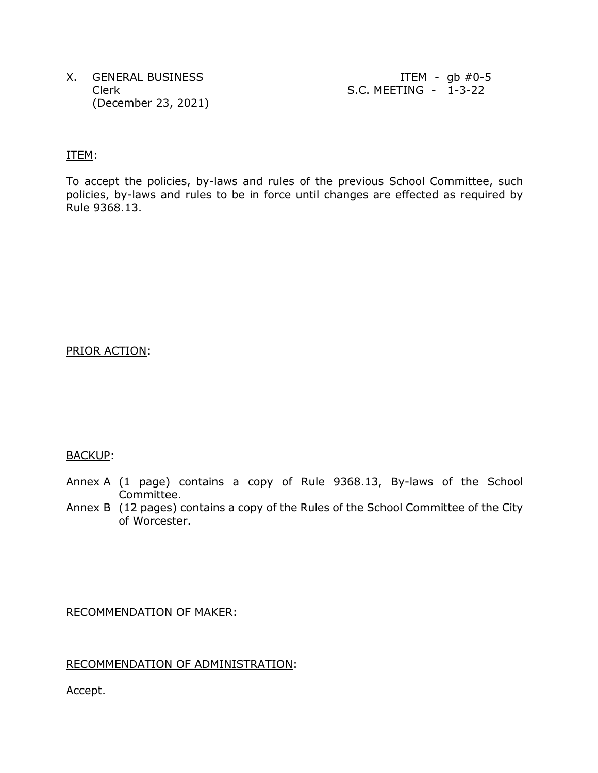X. GENERAL BUSINESS ITEM - gb #0-5 (December 23, 2021)

Clerk S.C. MEETING - 1-3-22

#### ITEM:

To accept the policies, by-laws and rules of the previous School Committee, such policies, by-laws and rules to be in force until changes are effected as required by Rule 9368.13.

### PRIOR ACTION:

### BACKUP:

- Annex A (1 page) contains a copy of Rule 9368.13, By-laws of the School Committee.
- Annex B (12 pages) contains a copy of the Rules of the School Committee of the City of Worcester.

#### RECOMMENDATION OF MAKER:

### RECOMMENDATION OF ADMINISTRATION:

Accept.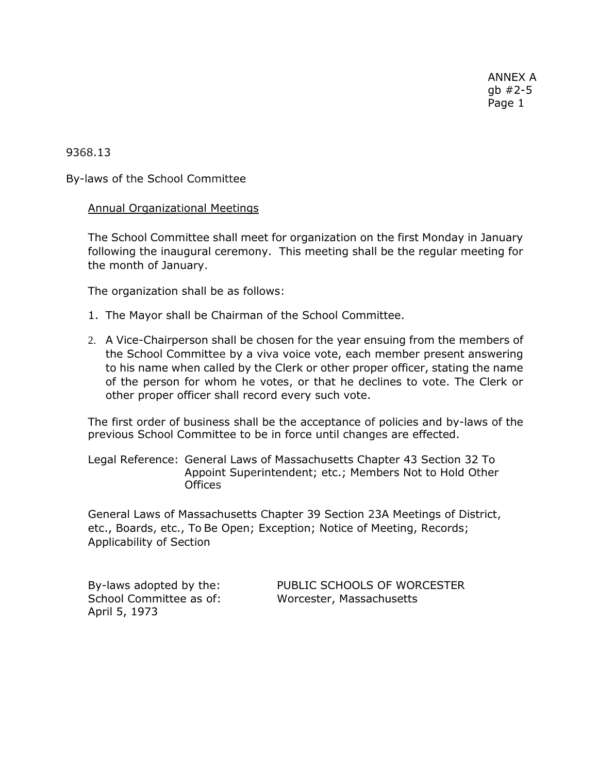9368.13

By-laws of the School Committee

Annual Organizational Meetings

The School Committee shall meet for organization on the first Monday in January following the inaugural ceremony. This meeting shall be the regular meeting for the month of January.

The organization shall be as follows:

- 1. The Mayor shall be Chairman of the School Committee.
- 2. A Vice-Chairperson shall be chosen for the year ensuing from the members of the School Committee by a viva voice vote, each member present answering to his name when called by the Clerk or other proper officer, stating the name of the person for whom he votes, or that he declines to vote. The Clerk or other proper officer shall record every such vote.

The first order of business shall be the acceptance of policies and by-laws of the previous School Committee to be in force until changes are effected.

Legal Reference: General Laws of Massachusetts Chapter 43 Section 32 To Appoint Superintendent; etc.; Members Not to Hold Other **Offices** 

General Laws of Massachusetts Chapter 39 Section 23A Meetings of District, etc., Boards, etc., To Be Open; Exception; Notice of Meeting, Records; Applicability of Section

April 5, 1973

By-laws adopted by the: PUBLIC SCHOOLS OF WORCESTER School Committee as of: Worcester, Massachusetts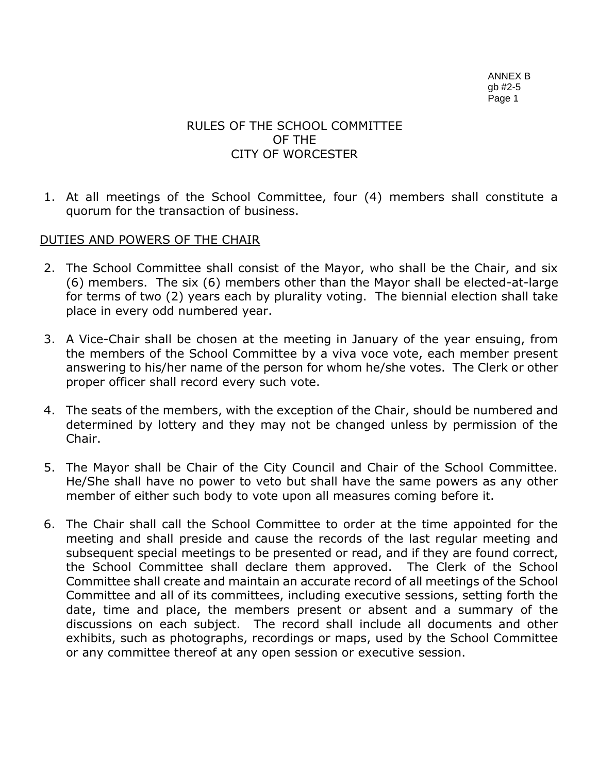# RULES OF THE SCHOOL COMMITTEE OF THE CITY OF WORCESTER

1. At all meetings of the School Committee, four (4) members shall constitute a quorum for the transaction of business.

# DUTIES AND POWERS OF THE CHAIR

- 2. The School Committee shall consist of the Mayor, who shall be the Chair, and six (6) members. The six (6) members other than the Mayor shall be elected-at-large for terms of two (2) years each by plurality voting. The biennial election shall take place in every odd numbered year.
- 3. A Vice-Chair shall be chosen at the meeting in January of the year ensuing, from the members of the School Committee by a viva voce vote, each member present answering to his/her name of the person for whom he/she votes. The Clerk or other proper officer shall record every such vote.
- 4. The seats of the members, with the exception of the Chair, should be numbered and determined by lottery and they may not be changed unless by permission of the Chair.
- 5. The Mayor shall be Chair of the City Council and Chair of the School Committee. He/She shall have no power to veto but shall have the same powers as any other member of either such body to vote upon all measures coming before it.
- 6. The Chair shall call the School Committee to order at the time appointed for the meeting and shall preside and cause the records of the last regular meeting and subsequent special meetings to be presented or read, and if they are found correct, the School Committee shall declare them approved. The Clerk of the School Committee shall create and maintain an accurate record of all meetings of the School Committee and all of its committees, including executive sessions, setting forth the date, time and place, the members present or absent and a summary of the discussions on each subject. The record shall include all documents and other exhibits, such as photographs, recordings or maps, used by the School Committee or any committee thereof at any open session or executive session.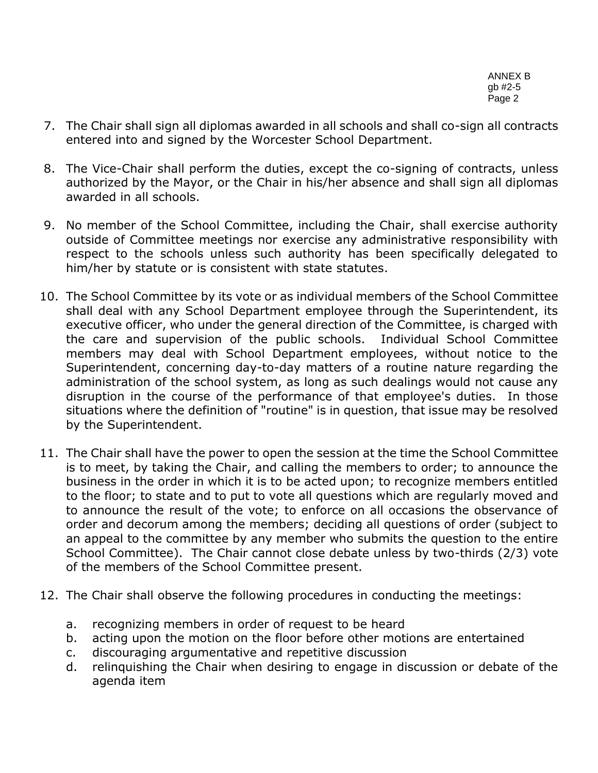- 7. The Chair shall sign all diplomas awarded in all schools and shall co-sign all contracts entered into and signed by the Worcester School Department.
- 8. The Vice-Chair shall perform the duties, except the co-signing of contracts, unless authorized by the Mayor, or the Chair in his/her absence and shall sign all diplomas awarded in all schools.
- 9. No member of the School Committee, including the Chair, shall exercise authority outside of Committee meetings nor exercise any administrative responsibility with respect to the schools unless such authority has been specifically delegated to him/her by statute or is consistent with state statutes.
- 10. The School Committee by its vote or as individual members of the School Committee shall deal with any School Department employee through the Superintendent, its executive officer, who under the general direction of the Committee, is charged with the care and supervision of the public schools. Individual School Committee members may deal with School Department employees, without notice to the Superintendent, concerning day-to-day matters of a routine nature regarding the administration of the school system, as long as such dealings would not cause any disruption in the course of the performance of that employee's duties. In those situations where the definition of "routine" is in question, that issue may be resolved by the Superintendent.
- 11. The Chair shall have the power to open the session at the time the School Committee is to meet, by taking the Chair, and calling the members to order; to announce the business in the order in which it is to be acted upon; to recognize members entitled to the floor; to state and to put to vote all questions which are regularly moved and to announce the result of the vote; to enforce on all occasions the observance of order and decorum among the members; deciding all questions of order (subject to an appeal to the committee by any member who submits the question to the entire School Committee). The Chair cannot close debate unless by two-thirds (2/3) vote of the members of the School Committee present.
- 12. The Chair shall observe the following procedures in conducting the meetings:
	- a. recognizing members in order of request to be heard
	- b. acting upon the motion on the floor before other motions are entertained
	- c. discouraging argumentative and repetitive discussion
	- d. relinquishing the Chair when desiring to engage in discussion or debate of the agenda item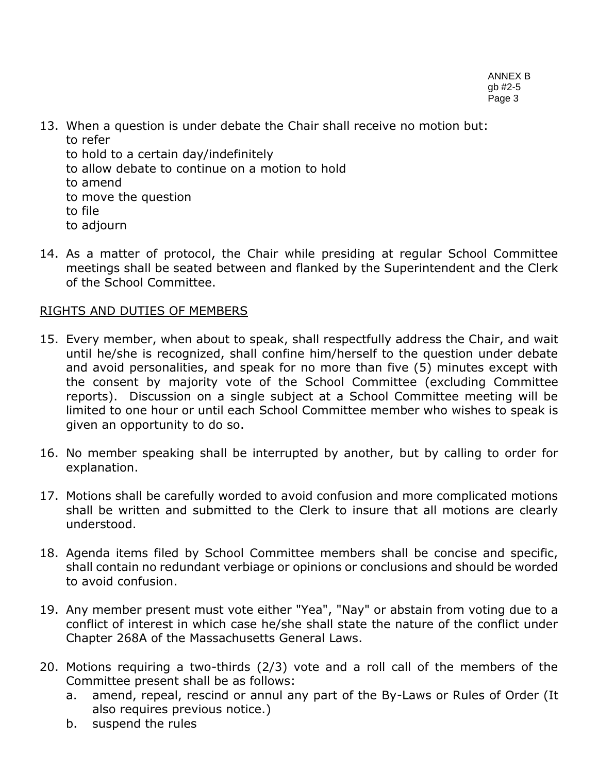- 13. When a question is under debate the Chair shall receive no motion but: to refer
	- to hold to a certain day/indefinitely
	- to allow debate to continue on a motion to hold
	- to amend
	- to move the question
	- to file
	- to adjourn
- 14. As a matter of protocol, the Chair while presiding at regular School Committee meetings shall be seated between and flanked by the Superintendent and the Clerk of the School Committee.

# RIGHTS AND DUTIES OF MEMBERS

- 15. Every member, when about to speak, shall respectfully address the Chair, and wait until he/she is recognized, shall confine him/herself to the question under debate and avoid personalities, and speak for no more than five (5) minutes except with the consent by majority vote of the School Committee (excluding Committee reports). Discussion on a single subject at a School Committee meeting will be limited to one hour or until each School Committee member who wishes to speak is given an opportunity to do so.
- 16. No member speaking shall be interrupted by another, but by calling to order for explanation.
- 17. Motions shall be carefully worded to avoid confusion and more complicated motions shall be written and submitted to the Clerk to insure that all motions are clearly understood.
- 18. Agenda items filed by School Committee members shall be concise and specific, shall contain no redundant verbiage or opinions or conclusions and should be worded to avoid confusion.
- 19. Any member present must vote either "Yea", "Nay" or abstain from voting due to a conflict of interest in which case he/she shall state the nature of the conflict under Chapter 268A of the Massachusetts General Laws.
- 20. Motions requiring a two-thirds (2/3) vote and a roll call of the members of the Committee present shall be as follows:
	- a. amend, repeal, rescind or annul any part of the By-Laws or Rules of Order (It also requires previous notice.)
	- b. suspend the rules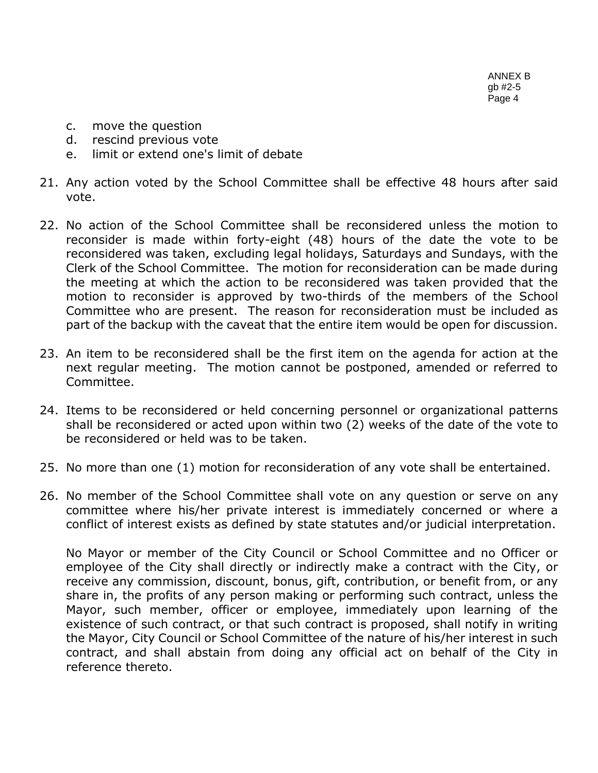- c. move the question
- d. rescind previous vote
- e. limit or extend one's limit of debate
- 21. Any action voted by the School Committee shall be effective 48 hours after said vote.
- 22. No action of the School Committee shall be reconsidered unless the motion to reconsider is made within forty-eight (48) hours of the date the vote to be reconsidered was taken, excluding legal holidays, Saturdays and Sundays, with the Clerk of the School Committee. The motion for reconsideration can be made during the meeting at which the action to be reconsidered was taken provided that the motion to reconsider is approved by two-thirds of the members of the School Committee who are present. The reason for reconsideration must be included as part of the backup with the caveat that the entire item would be open for discussion.
- 23. An item to be reconsidered shall be the first item on the agenda for action at the next regular meeting. The motion cannot be postponed, amended or referred to Committee.
- 24. Items to be reconsidered or held concerning personnel or organizational patterns shall be reconsidered or acted upon within two (2) weeks of the date of the vote to be reconsidered or held was to be taken.
- 25. No more than one (1) motion for reconsideration of any vote shall be entertained.
- 26. No member of the School Committee shall vote on any question or serve on any committee where his/her private interest is immediately concerned or where a conflict of interest exists as defined by state statutes and/or judicial interpretation.

No Mayor or member of the City Council or School Committee and no Officer or employee of the City shall directly or indirectly make a contract with the City, or receive any commission, discount, bonus, gift, contribution, or benefit from, or any share in, the profits of any person making or performing such contract, unless the Mayor, such member, officer or employee, immediately upon learning of the existence of such contract, or that such contract is proposed, shall notify in writing the Mayor, City Council or School Committee of the nature of his/her interest in such contract, and shall abstain from doing any official act on behalf of the City in reference thereto.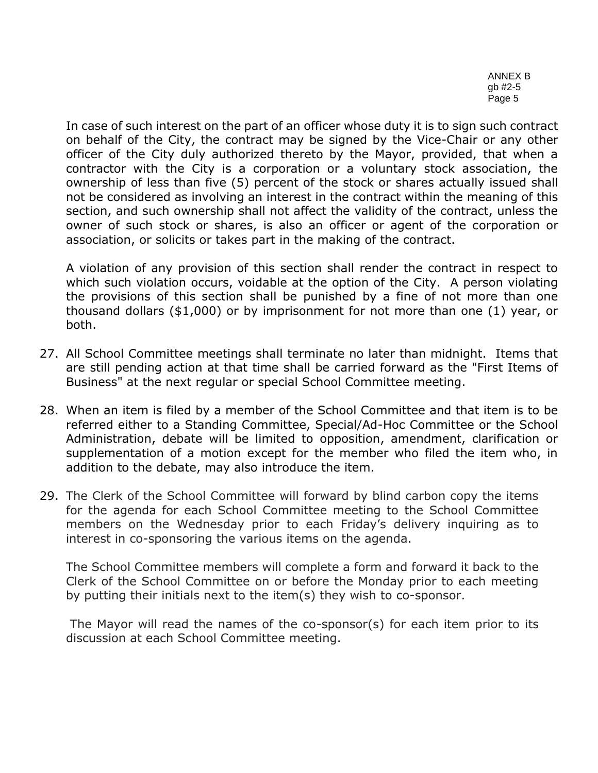In case of such interest on the part of an officer whose duty it is to sign such contract on behalf of the City, the contract may be signed by the Vice-Chair or any other officer of the City duly authorized thereto by the Mayor, provided, that when a contractor with the City is a corporation or a voluntary stock association, the ownership of less than five (5) percent of the stock or shares actually issued shall not be considered as involving an interest in the contract within the meaning of this section, and such ownership shall not affect the validity of the contract, unless the owner of such stock or shares, is also an officer or agent of the corporation or association, or solicits or takes part in the making of the contract.

A violation of any provision of this section shall render the contract in respect to which such violation occurs, voidable at the option of the City. A person violating the provisions of this section shall be punished by a fine of not more than one thousand dollars (\$1,000) or by imprisonment for not more than one (1) year, or both.

- 27. All School Committee meetings shall terminate no later than midnight. Items that are still pending action at that time shall be carried forward as the "First Items of Business" at the next regular or special School Committee meeting.
- 28. When an item is filed by a member of the School Committee and that item is to be referred either to a Standing Committee, Special/Ad-Hoc Committee or the School Administration, debate will be limited to opposition, amendment, clarification or supplementation of a motion except for the member who filed the item who, in addition to the debate, may also introduce the item.
- 29. The Clerk of the School Committee will forward by blind carbon copy the items for the agenda for each School Committee meeting to the School Committee members on the Wednesday prior to each Friday's delivery inquiring as to interest in co-sponsoring the various items on the agenda.

The School Committee members will complete a form and forward it back to the Clerk of the School Committee on or before the Monday prior to each meeting by putting their initials next to the item(s) they wish to co-sponsor.

The Mayor will read the names of the co-sponsor(s) for each item prior to its discussion at each School Committee meeting.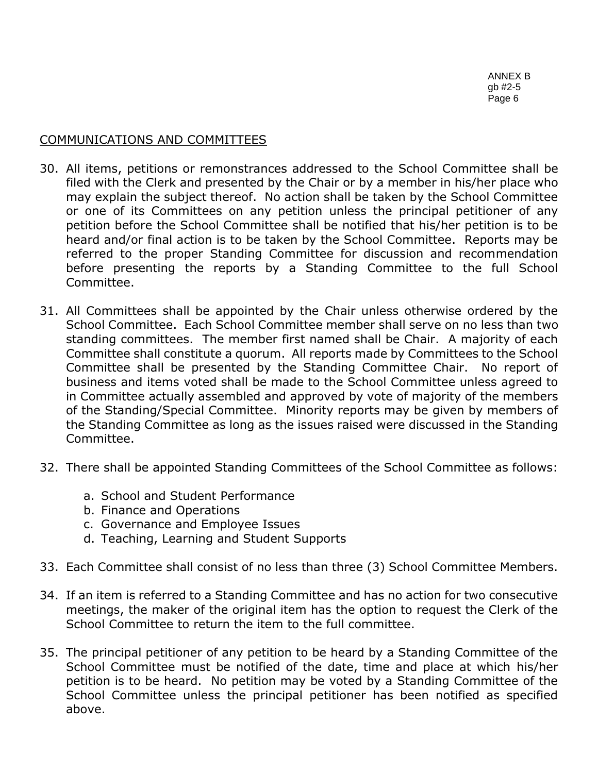# COMMUNICATIONS AND COMMITTEES

- 30. All items, petitions or remonstrances addressed to the School Committee shall be filed with the Clerk and presented by the Chair or by a member in his/her place who may explain the subject thereof. No action shall be taken by the School Committee or one of its Committees on any petition unless the principal petitioner of any petition before the School Committee shall be notified that his/her petition is to be heard and/or final action is to be taken by the School Committee. Reports may be referred to the proper Standing Committee for discussion and recommendation before presenting the reports by a Standing Committee to the full School Committee.
- 31. All Committees shall be appointed by the Chair unless otherwise ordered by the School Committee. Each School Committee member shall serve on no less than two standing committees. The member first named shall be Chair. A majority of each Committee shall constitute a quorum. All reports made by Committees to the School Committee shall be presented by the Standing Committee Chair. No report of business and items voted shall be made to the School Committee unless agreed to in Committee actually assembled and approved by vote of majority of the members of the Standing/Special Committee. Minority reports may be given by members of the Standing Committee as long as the issues raised were discussed in the Standing Committee.
- 32. There shall be appointed Standing Committees of the School Committee as follows:
	- a. School and Student Performance
	- b. Finance and Operations
	- c. Governance and Employee Issues
	- d. Teaching, Learning and Student Supports
- 33. Each Committee shall consist of no less than three (3) School Committee Members.
- 34. If an item is referred to a Standing Committee and has no action for two consecutive meetings, the maker of the original item has the option to request the Clerk of the School Committee to return the item to the full committee.
- 35. The principal petitioner of any petition to be heard by a Standing Committee of the School Committee must be notified of the date, time and place at which his/her petition is to be heard. No petition may be voted by a Standing Committee of the School Committee unless the principal petitioner has been notified as specified above.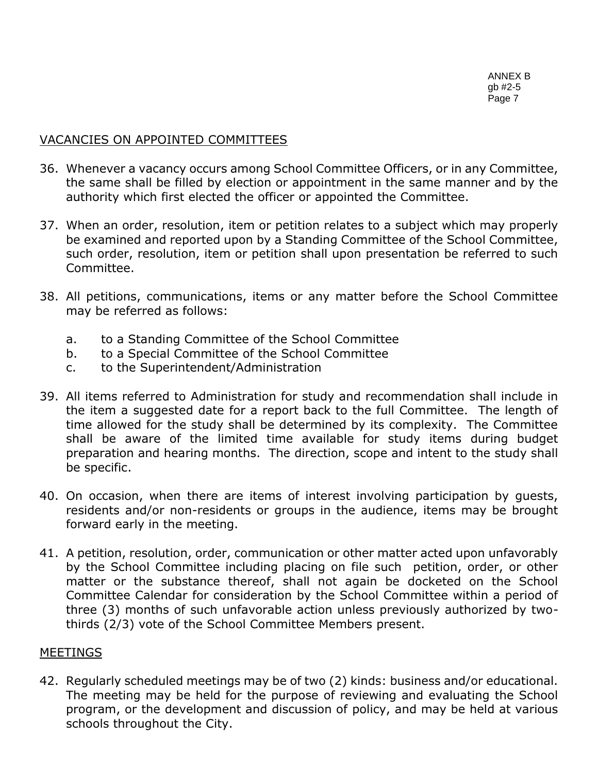# VACANCIES ON APPOINTED COMMITTEES

- 36. Whenever a vacancy occurs among School Committee Officers, or in any Committee, the same shall be filled by election or appointment in the same manner and by the authority which first elected the officer or appointed the Committee.
- 37. When an order, resolution, item or petition relates to a subject which may properly be examined and reported upon by a Standing Committee of the School Committee, such order, resolution, item or petition shall upon presentation be referred to such Committee.
- 38. All petitions, communications, items or any matter before the School Committee may be referred as follows:
	- a. to a Standing Committee of the School Committee
	- b. to a Special Committee of the School Committee
	- c. to the Superintendent/Administration
- 39. All items referred to Administration for study and recommendation shall include in the item a suggested date for a report back to the full Committee. The length of time allowed for the study shall be determined by its complexity. The Committee shall be aware of the limited time available for study items during budget preparation and hearing months. The direction, scope and intent to the study shall be specific.
- 40. On occasion, when there are items of interest involving participation by guests, residents and/or non-residents or groups in the audience, items may be brought forward early in the meeting.
- 41. A petition, resolution, order, communication or other matter acted upon unfavorably by the School Committee including placing on file such petition, order, or other matter or the substance thereof, shall not again be docketed on the School Committee Calendar for consideration by the School Committee within a period of three (3) months of such unfavorable action unless previously authorized by twothirds (2/3) vote of the School Committee Members present.

## MEETINGS

42. Regularly scheduled meetings may be of two (2) kinds: business and/or educational. The meeting may be held for the purpose of reviewing and evaluating the School program, or the development and discussion of policy, and may be held at various schools throughout the City.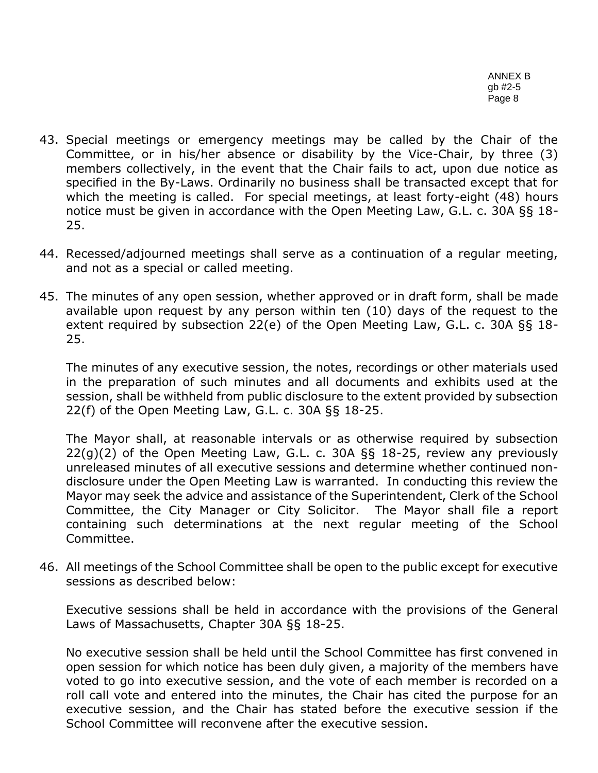- 43. Special meetings or emergency meetings may be called by the Chair of the Committee, or in his/her absence or disability by the Vice-Chair, by three (3) members collectively, in the event that the Chair fails to act, upon due notice as specified in the By-Laws. Ordinarily no business shall be transacted except that for which the meeting is called. For special meetings, at least forty-eight (48) hours notice must be given in accordance with the Open Meeting Law, G.L. c. 30A §§ 18- 25.
- 44. Recessed/adjourned meetings shall serve as a continuation of a regular meeting, and not as a special or called meeting.
- 45. The minutes of any open session, whether approved or in draft form, shall be made available upon request by any person within ten (10) days of the request to the extent required by subsection 22(e) of the Open Meeting Law, G.L. c. 30A §§ 18- 25.

The minutes of any executive session, the notes, recordings or other materials used in the preparation of such minutes and all documents and exhibits used at the session, shall be withheld from public disclosure to the extent provided by subsection 22(f) of the Open Meeting Law, G.L. c. 30A §§ 18-25.

The Mayor shall, at reasonable intervals or as otherwise required by subsection 22(g)(2) of the Open Meeting Law, G.L. c. 30A §§ 18-25, review any previously unreleased minutes of all executive sessions and determine whether continued nondisclosure under the Open Meeting Law is warranted. In conducting this review the Mayor may seek the advice and assistance of the Superintendent, Clerk of the School Committee, the City Manager or City Solicitor. The Mayor shall file a report containing such determinations at the next regular meeting of the School Committee.

46. All meetings of the School Committee shall be open to the public except for executive sessions as described below:

Executive sessions shall be held in accordance with the provisions of the General Laws of Massachusetts, Chapter 30A §§ 18-25.

No executive session shall be held until the School Committee has first convened in open session for which notice has been duly given, a majority of the members have voted to go into executive session, and the vote of each member is recorded on a roll call vote and entered into the minutes, the Chair has cited the purpose for an executive session, and the Chair has stated before the executive session if the School Committee will reconvene after the executive session.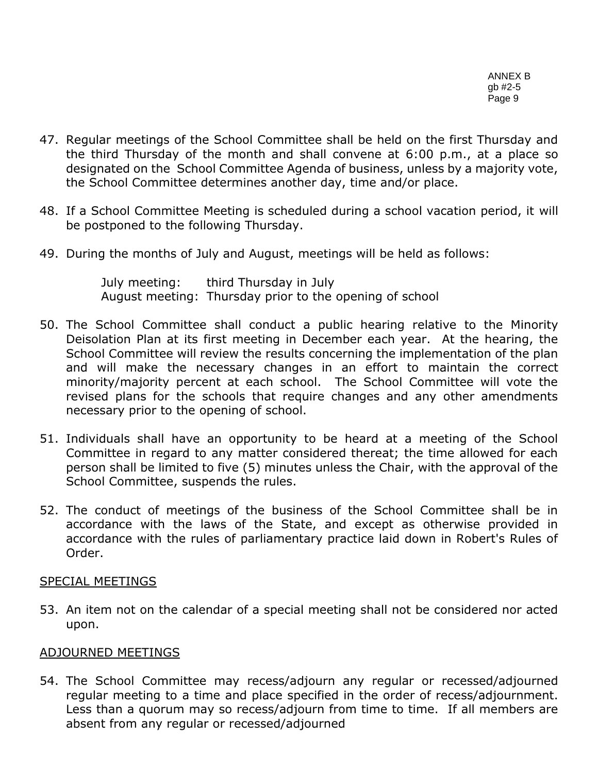- 47. Regular meetings of the School Committee shall be held on the first Thursday and the third Thursday of the month and shall convene at 6:00 p.m., at a place so designated on the School Committee Agenda of business, unless by a majority vote, the School Committee determines another day, time and/or place.
- 48. If a School Committee Meeting is scheduled during a school vacation period, it will be postponed to the following Thursday.
- 49. During the months of July and August, meetings will be held as follows:

July meeting: third Thursday in July August meeting: Thursday prior to the opening of school

- 50. The School Committee shall conduct a public hearing relative to the Minority Deisolation Plan at its first meeting in December each year. At the hearing, the School Committee will review the results concerning the implementation of the plan and will make the necessary changes in an effort to maintain the correct minority/majority percent at each school. The School Committee will vote the revised plans for the schools that require changes and any other amendments necessary prior to the opening of school.
- 51. Individuals shall have an opportunity to be heard at a meeting of the School Committee in regard to any matter considered thereat; the time allowed for each person shall be limited to five (5) minutes unless the Chair, with the approval of the School Committee, suspends the rules.
- 52. The conduct of meetings of the business of the School Committee shall be in accordance with the laws of the State, and except as otherwise provided in accordance with the rules of parliamentary practice laid down in Robert's Rules of Order.

# SPECIAL MEETINGS

53. An item not on the calendar of a special meeting shall not be considered nor acted upon.

# ADJOURNED MEETINGS

54. The School Committee may recess/adjourn any regular or recessed/adjourned regular meeting to a time and place specified in the order of recess/adjournment. Less than a quorum may so recess/adjourn from time to time. If all members are absent from any regular or recessed/adjourned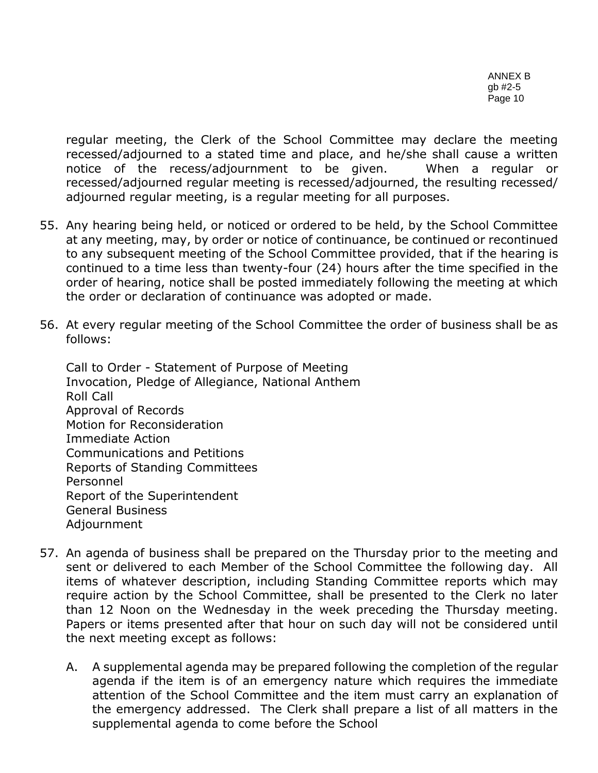regular meeting, the Clerk of the School Committee may declare the meeting recessed/adjourned to a stated time and place, and he/she shall cause a written notice of the recess/adjournment to be given. When a regular or recessed/adjourned regular meeting is recessed/adjourned, the resulting recessed/ adjourned regular meeting, is a regular meeting for all purposes.

- 55. Any hearing being held, or noticed or ordered to be held, by the School Committee at any meeting, may, by order or notice of continuance, be continued or recontinued to any subsequent meeting of the School Committee provided, that if the hearing is continued to a time less than twenty-four (24) hours after the time specified in the order of hearing, notice shall be posted immediately following the meeting at which the order or declaration of continuance was adopted or made.
- 56. At every regular meeting of the School Committee the order of business shall be as follows:

Call to Order - Statement of Purpose of Meeting Invocation, Pledge of Allegiance, National Anthem Roll Call Approval of Records Motion for Reconsideration Immediate Action Communications and Petitions Reports of Standing Committees Personnel Report of the Superintendent General Business Adjournment

- 57. An agenda of business shall be prepared on the Thursday prior to the meeting and sent or delivered to each Member of the School Committee the following day. All items of whatever description, including Standing Committee reports which may require action by the School Committee, shall be presented to the Clerk no later than 12 Noon on the Wednesday in the week preceding the Thursday meeting. Papers or items presented after that hour on such day will not be considered until the next meeting except as follows:
	- A. A supplemental agenda may be prepared following the completion of the regular agenda if the item is of an emergency nature which requires the immediate attention of the School Committee and the item must carry an explanation of the emergency addressed. The Clerk shall prepare a list of all matters in the supplemental agenda to come before the School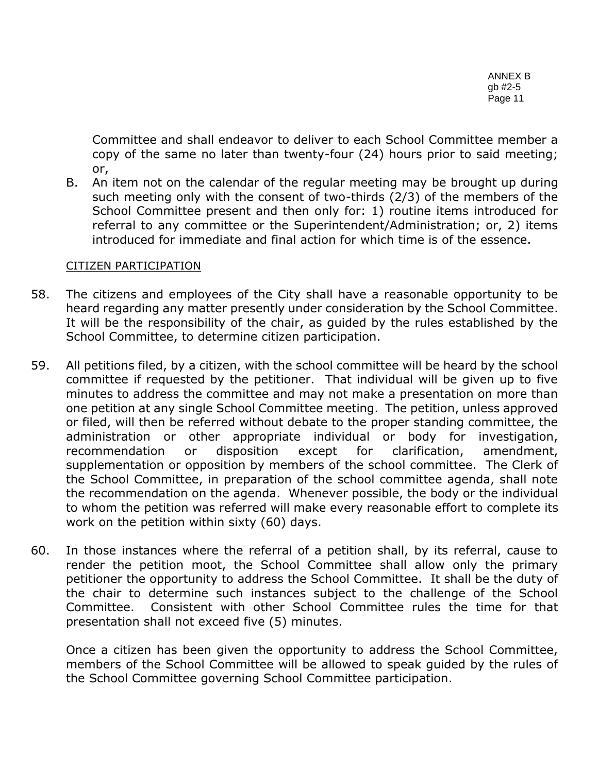Committee and shall endeavor to deliver to each School Committee member a copy of the same no later than twenty-four (24) hours prior to said meeting; or,

B. An item not on the calendar of the regular meeting may be brought up during such meeting only with the consent of two-thirds (2/3) of the members of the School Committee present and then only for: 1) routine items introduced for referral to any committee or the Superintendent/Administration; or, 2) items introduced for immediate and final action for which time is of the essence.

# CITIZEN PARTICIPATION

- 58. The citizens and employees of the City shall have a reasonable opportunity to be heard regarding any matter presently under consideration by the School Committee. It will be the responsibility of the chair, as guided by the rules established by the School Committee, to determine citizen participation.
- 59. All petitions filed, by a citizen, with the school committee will be heard by the school committee if requested by the petitioner. That individual will be given up to five minutes to address the committee and may not make a presentation on more than one petition at any single School Committee meeting. The petition, unless approved or filed, will then be referred without debate to the proper standing committee, the administration or other appropriate individual or body for investigation, recommendation or disposition except for clarification, amendment, supplementation or opposition by members of the school committee. The Clerk of the School Committee, in preparation of the school committee agenda, shall note the recommendation on the agenda. Whenever possible, the body or the individual to whom the petition was referred will make every reasonable effort to complete its work on the petition within sixty (60) days.
- 60. In those instances where the referral of a petition shall, by its referral, cause to render the petition moot, the School Committee shall allow only the primary petitioner the opportunity to address the School Committee. It shall be the duty of the chair to determine such instances subject to the challenge of the School Committee. Consistent with other School Committee rules the time for that presentation shall not exceed five (5) minutes.

Once a citizen has been given the opportunity to address the School Committee, members of the School Committee will be allowed to speak guided by the rules of the School Committee governing School Committee participation.